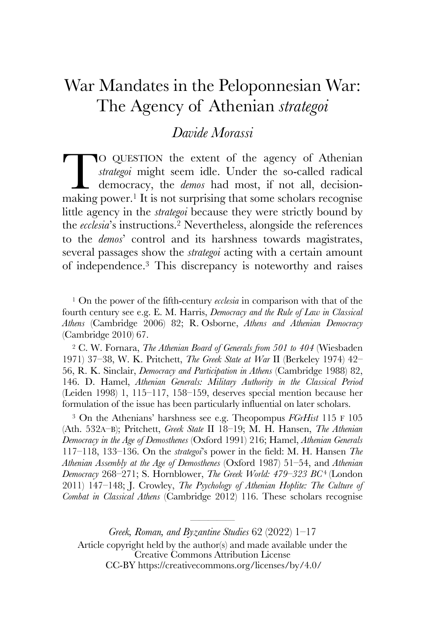# War Mandates in the Peloponnesian War: The Agency of Athenian *strategoi*

## *Davide Morassi*

O QUESTION the extent of the agency of Athenian *strategoi* might seem idle. Under the so-called radical democracy, the *demos* had most, if not all, decisionmaking power.<sup>1</sup> It is not surprising that some scholars recognise little agency in the *strategoi* because they were strictly bound by the *ecclesia*'s instructions.2 Nevertheless, alongside the references to the *demos*' control and its harshness towards magistrates, several passages show the *strategoi* acting with a certain amount of independence.3 This discrepancy is noteworthy and raises T

<sup>1</sup> On the power of the fifth-century *ecclesia* in comparison with that of the fourth century see e.g. E. M. Harris, *Democracy and the Rule of Law in Classical Athens* (Cambridge 2006) 82; R. Osborne, *Athens and Athenian Democracy*  (Cambridge 2010) 67.

<sup>2</sup> C. W. Fornara, *The Athenian Board of Generals from 501 to 404* (Wiesbaden 1971) 37–38, W. K. Pritchett, *The Greek State at War* II (Berkeley 1974) 42– 56, R. K. Sinclair, *Democracy and Participation in Athens* (Cambridge 1988) 82, 146. D. Hamel, *Athenian Generals: Military Authority in the Classical Period*  (Leiden 1998) 1, 115–117, 158–159, deserves special mention because her formulation of the issue has been particularly influential on later scholars.

<sup>3</sup> On the Athenians' harshness see e.g. Theopompus *FGrHist* 115 F 105 (Ath. 532A–B); Pritchett, *Greek State* II 18–19; M. H. Hansen, *The Athenian Democracy in the Age of Demosthenes* (Oxford 1991) 216; Hamel, *Athenian Generals*  117–118, 133–136. On the *strategoi*'s power in the field: M. H. Hansen *The Athenian Assembly at the Age of Demosthenes* (Oxford 1987) 51–54, and *Athenian Democracy* 268–271; S. Hornblower, *The Greek World: 479–323 BC*4 (London 2011) 147–148; J. Crowley, *The Psychology of Athenian Hoplite: The Culture of Combat in Classical Athens* (Cambridge 2012) 116. These scholars recognise

*Greek, Roman, and Byzantine Studies* 62 (2022) 1–17 Article copyright held by the author(s) and made available under the Creative Commons Attribution License CC-BY https://creativecommons.org/licenses/by/4.0/

————————————<br>————————————————————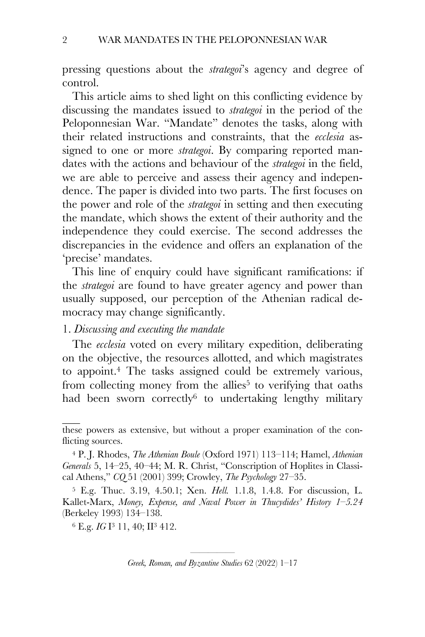pressing questions about the *strategoi*'s agency and degree of control.

This article aims to shed light on this conflicting evidence by discussing the mandates issued to *strategoi* in the period of the Peloponnesian War. "Mandate" denotes the tasks, along with their related instructions and constraints, that the *ecclesia* assigned to one or more *strategoi*. By comparing reported mandates with the actions and behaviour of the *strategoi* in the field, we are able to perceive and assess their agency and independence. The paper is divided into two parts. The first focuses on the power and role of the *strategoi* in setting and then executing the mandate, which shows the extent of their authority and the independence they could exercise. The second addresses the discrepancies in the evidence and offers an explanation of the 'precise' mandates.

This line of enquiry could have significant ramifications: if the *strategoi* are found to have greater agency and power than usually supposed, our perception of the Athenian radical democracy may change significantly.

## 1. *Discussing and executing the mandate*

The *ecclesia* voted on every military expedition, deliberating on the objective, the resources allotted, and which magistrates to appoint.4 The tasks assigned could be extremely various, from collecting money from the allies<sup>5</sup> to verifying that oaths had been sworn correctly $6$  to undertaking lengthy military

<sup>6</sup> E.g. *IG* I3 11, 40; II3 412.

these powers as extensive, but without a proper examination of the conflicting sources.

<sup>4</sup> P. J. Rhodes, *The Athenian Boule* (Oxford 1971) 113–114; Hamel, *Athenian Generals* 5, 14–25, 40–44; M. R. Christ, "Conscription of Hoplites in Classical Athens," *CQ* 51 (2001) 399; Crowley, *The Psychology* 27–35.

<sup>5</sup> E.g. Thuc. 3.19, 4.50.1; Xen. *Hell.* 1.1.8, 1.4.8. For discussion, L. Kallet-Marx, *Money, Expense, and Naval Power in Thucydides' History 1–5.24*  (Berkeley 1993) 134–138.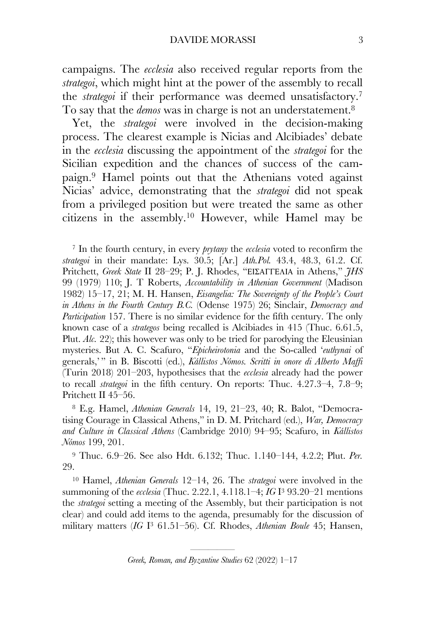campaigns. The *ecclesia* also received regular reports from the *strategoi*, which might hint at the power of the assembly to recall the *strategoi* if their performance was deemed unsatisfactory.7 To say that the *demos* was in charge is not an understatement.8

Yet, the *strategoi* were involved in the decision-making process. The clearest example is Nicias and Alcibiades' debate in the *ecclesia* discussing the appointment of the *strategoi* for the Sicilian expedition and the chances of success of the campaign.9 Hamel points out that the Athenians voted against Nicias' advice, demonstrating that the *strategoi* did not speak from a privileged position but were treated the same as other citizens in the assembly.10 However, while Hamel may be

<sup>7</sup> In the fourth century, in every *prytany* the *ecclesia* voted to reconfirm the *strategoi* in their mandate: Lys. 30.5; [Ar.] *Ath.Pol.* 43.4, 48.3, 61.2. Cf. Pritchett, *Greek State* II 28–29; P. J. Rhodes, "ΕΙΣΑΓΓΕΛΙΑ in Athens," *JHS* 99 (1979) 110; J. T Roberts, *Accountability in Athenian Government* (Madison 1982) 15–17, 21; M. H. Hansen, *Eisangelia: The Sovereignty of the People's Court in Athens in the Fourth Century B.C.* (Odense 1975) 26; Sinclair, *Democracy and Participation* 157. There is no similar evidence for the fifth century. The only known case of a *strategos* being recalled is Alcibiades in 415 (Thuc. 6.61.5, Plut. *Alc.* 22); this however was only to be tried for parodying the Eleusinian mysteries. But A. C. Scafuro, "*Epicheirotonia* and the So-called '*euthynai* of generals,' " in B. Biscotti (ed.), *Kállistos Nómos. Scritti in onore di Alberto Maffi*  (Turin 2018) 201–203, hypothesises that the *ecclesia* already had the power to recall *strategoi* in the fifth century. On reports: Thuc. 4.27.3–4, 7.8–9; Pritchett II 45–56.

<sup>8</sup> E.g. Hamel, *Athenian Generals* 14, 19, 21–23, 40; R. Balot, "Democratising Courage in Classical Athens," in D. M. Pritchard (ed.), *War, Democracy and Culture in Classical Athens* (Cambridge 2010) 94–95; Scafuro, in *Kállistos Nómos* 199, 201.

<sup>9</sup> Thuc. 6.9–26. See also Hdt. 6.132; Thuc. 1.140–144, 4.2.2; Plut. *Per.*  29.

<sup>10</sup> Hamel, *Athenian Generals* 12–14, 26. The *strategoi* were involved in the summoning of the *ecclesia* (Thuc. 2.22.1, 4.118.1–4; *IG* I3 93.20–21 mentions the *strategoi* setting a meeting of the Assembly, but their participation is not clear) and could add items to the agenda, presumably for the discussion of military matters (*IG* I3 61.51–56). Cf. Rhodes, *Athenian Boule* 45; Hansen,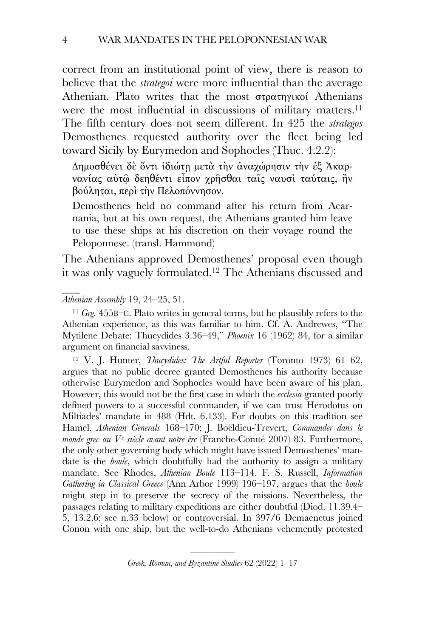correct from an institutional point of view, there is reason to believe that the *strategoi* were more influential than the average Athenian. Plato writes that the most στρατηγικοί Athenians were the most influential in discussions of military matters. 11 The fifth century does not seem different. In 425 the *strategos*  Demosthenes requested authority over the fleet being led toward Sicily by Eurymedon and Sophocles (Thuc. 4.2.2):

Δηµοσθένει δὲ ὄντι ἰδιώτῃ µετὰ τὴν ἀναχώρησιν τὴν ἐξ Ἀκαρνανίας αὐτῷ δεηθέντι εἶπον χρῆσθαι ταῖς ναυσὶ ταύταις, ἢν βούληται, περὶ τὴν Πελοπόννησον.

Demosthenes held no command after his return from Acarnania, but at his own request, the Athenians granted him leave to use these ships at his discretion on their voyage round the Peloponnese. (transl. Hammond)

The Athenians approved Demosthenes' proposal even though it was only vaguely formulated.12 The Athenians discussed and

#### *Athenian Assembly* 19, 24–25, 51.

<sup>11</sup> *Grg.* 455B–C. Plato writes in general terms, but he plausibly refers to the Athenian experience, as this was familiar to him. Cf. A. Andrewes, "The Mytilene Debate: Thucydides 3.36–49," *Phoenix* 16 (1962) 84, for a similar argument on financial savviness.

<sup>12</sup> V. J. Hunter, *Thucydides: The Artful Reporter* (Toronto 1973) 61–62, argues that no public decree granted Demosthenes his authority because otherwise Eurymedon and Sophocles would have been aware of his plan. However, this would not be the first case in which the *ecclesia* granted poorly defined powers to a successful commander, if we can trust Herodotus on Miltiades' mandate in 488 (Hdt. 6.133). For doubts on this tradition see Hamel, *Athenian Generals* 168–170; J. Boëldieu-Trevert, *Commander dans le monde grec au V <sup>e</sup> siècle avant notre ère* (Franche-Comté 2007) 83. Furthermore, the only other governing body which might have issued Demosthenes' mandate is the *boule*, which doubtfully had the authority to assign a military mandate. See Rhodes, *Athenian Boule* 113–114. F. S. Russell, *Information Gathering in Classical Greece* (Ann Arbor 1999) 196–197, argues that the *boule*  might step in to preserve the secrecy of the missions. Nevertheless, the passages relating to military expeditions are either doubtful (Diod. 11.39.4– 5, 13.2.6; see n.33 below) or controversial. In 397/6 Demaenetus joined Conon with one ship, but the well-to-do Athenians vehemently protested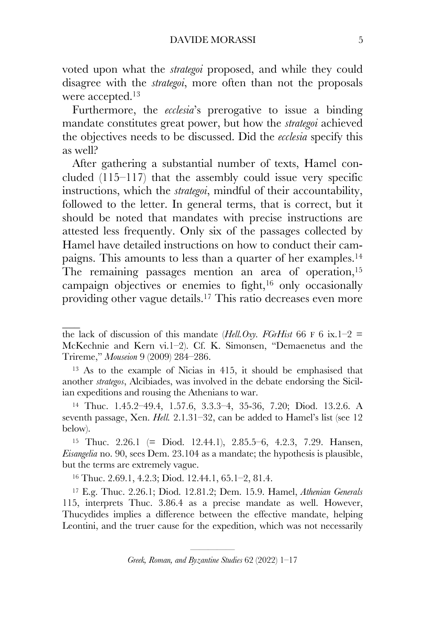voted upon what the *strategoi* proposed, and while they could disagree with the *strategoi*, more often than not the proposals were accepted.<sup>13</sup>

Furthermore, the *ecclesia*'s prerogative to issue a binding mandate constitutes great power, but how the *strategoi* achieved the objectives needs to be discussed. Did the *ecclesia* specify this as well?

After gathering a substantial number of texts, Hamel concluded (115–117) that the assembly could issue very specific instructions, which the *strategoi*, mindful of their accountability, followed to the letter. In general terms, that is correct, but it should be noted that mandates with precise instructions are attested less frequently. Only six of the passages collected by Hamel have detailed instructions on how to conduct their campaigns. This amounts to less than a quarter of her examples.14 The remaining passages mention an area of operation,<sup>15</sup> campaign objectives or enemies to fight,<sup>16</sup> only occasionally providing other vague details.17 This ratio decreases even more

<sup>13</sup> As to the example of Nicias in 415, it should be emphasised that another *strategos*, Alcibiades, was involved in the debate endorsing the Sicilian expeditions and rousing the Athenians to war.

<sup>14</sup> Thuc. 1.45.2–49.4, 1.57.6, 3.3.3–4, 35-36, 7.20; Diod. 13.2.6. A seventh passage, Xen. *Hell.* 2.1.31–32, can be added to Hamel's list (see 12 below).

<sup>15</sup> Thuc. 2.26.1 (= Diod. 12.44.1), 2.85.5–6, 4.2.3, 7.29. Hansen, *Eisangelia* no. 90, sees Dem. 23.104 as a mandate; the hypothesis is plausible, but the terms are extremely vague.

<sup>16</sup> Thuc. 2.69.1, 4.2.3; Diod. 12.44.1, 65.1–2, 81.4.

<sup>17</sup> E.g. Thuc. 2.26.1; Diod. 12.81.2; Dem. 15.9. Hamel, *Athenian Generals* 115, interprets Thuc. 3.86.4 as a precise mandate as well. However, Thucydides implies a difference between the effective mandate, helping Leontini, and the truer cause for the expedition, which was not necessarily

the lack of discussion of this mandate (*Hell.Oxy. FGrHist* 66 F 6 ix.1–2 = McKechnie and Kern vi.1–2). Cf. K. Simonsen, "Demaenetus and the Trireme," *Mouseion* 9 (2009) 284–286.

<sup>—————————————&</sup>lt;br>———————————————————— *Greek, Roman, and Byzantine Studies* 62 (2022) 1–17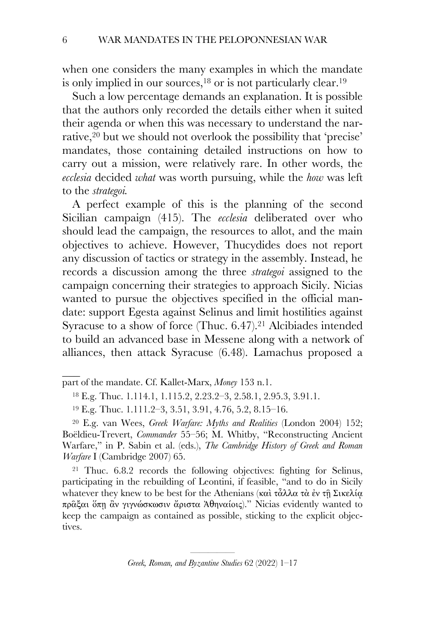when one considers the many examples in which the mandate is only implied in our sources, $18$  or is not particularly clear.  $19$ 

Such a low percentage demands an explanation. It is possible that the authors only recorded the details either when it suited their agenda or when this was necessary to understand the narrative,<sup>20</sup> but we should not overlook the possibility that 'precise' mandates, those containing detailed instructions on how to carry out a mission, were relatively rare. In other words, the *ecclesia* decided *what* was worth pursuing, while the *how* was left to the *strategoi.*

A perfect example of this is the planning of the second Sicilian campaign (415). The *ecclesia* deliberated over who should lead the campaign, the resources to allot, and the main objectives to achieve. However, Thucydides does not report any discussion of tactics or strategy in the assembly. Instead, he records a discussion among the three *strategoi* assigned to the campaign concerning their strategies to approach Sicily. Nicias wanted to pursue the objectives specified in the official mandate: support Egesta against Selinus and limit hostilities against Syracuse to a show of force (Thuc. 6.47). <sup>21</sup> Alcibiades intended to build an advanced base in Messene along with a network of alliances, then attack Syracuse (6.48). Lamachus proposed a

part of the mandate. Cf. Kallet-Marx, *Money* 153 n.1.

<sup>21</sup> Thuc. 6.8.2 records the following objectives: fighting for Selinus, participating in the rebuilding of Leontini, if feasible, "and to do in Sicily whatever they knew to be best for the Athenians (καὶ τἆλλα τὰ ἐν τῇ Σικελία πρᾶξαι ὅπῃ ἂν γιγνώσκωσιν ἄριστα Ἀθηναίοις)." Nicias evidently wanted to keep the campaign as contained as possible, sticking to the explicit objectives.

<sup>18</sup> E.g. Thuc. 1.114.1, 1.115.2, 2.23.2–3, 2.58.1, 2.95.3, 3.91.1.

<sup>19</sup> E.g. Thuc. 1.111.2–3, 3.51, 3.91, 4.76, 5.2, 8.15–16.

<sup>20</sup> E.g. van Wees, *Greek Warfare: Myths and Realities* (London 2004) 152; Boëldieu-Trevert, *Commander* 55–56; M. Whitby, "Reconstructing Ancient Warfare," in P. Sabin et al. (eds.), *The Cambridge History of Greek and Roman Warfare* I (Cambridge 2007) 65.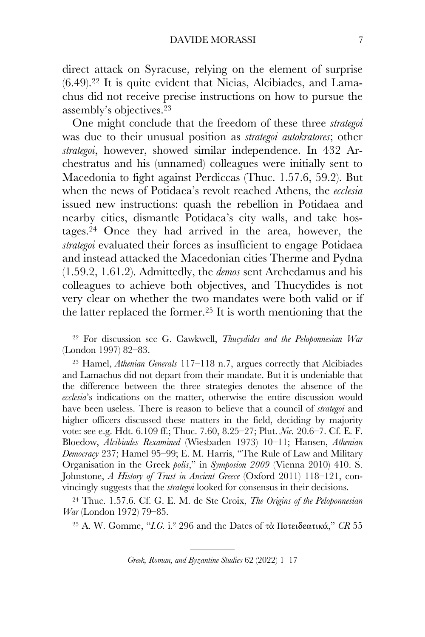direct attack on Syracuse, relying on the element of surprise (6.49). <sup>22</sup> It is quite evident that Nicias, Alcibiades, and Lamachus did not receive precise instructions on how to pursue the assembly's objectives.23

One might conclude that the freedom of these three *strategoi* was due to their unusual position as *strategoi autokratores*; other *strategoi*, however, showed similar independence. In 432 Archestratus and his (unnamed) colleagues were initially sent to Macedonia to fight against Perdiccas (Thuc. 1.57.6, 59.2). But when the news of Potidaea's revolt reached Athens, the *ecclesia*  issued new instructions: quash the rebellion in Potidaea and nearby cities, dismantle Potidaea's city walls, and take hostages.24 Once they had arrived in the area, however, the *strategoi* evaluated their forces as insufficient to engage Potidaea and instead attacked the Macedonian cities Therme and Pydna (1.59.2, 1.61.2). Admittedly, the *demos* sent Archedamus and his colleagues to achieve both objectives, and Thucydides is not very clear on whether the two mandates were both valid or if the latter replaced the former.25 It is worth mentioning that the

<sup>22</sup> For discussion see G. Cawkwell, *Thucydides and the Peloponnesian War*  (London 1997) 82–83.

<sup>23</sup> Hamel, *Athenian Generals* 117–118 n.7, argues correctly that Alcibiades and Lamachus did not depart from their mandate. But it is undeniable that the difference between the three strategies denotes the absence of the *ecclesia*'s indications on the matter, otherwise the entire discussion would have been useless. There is reason to believe that a council of *strategoi* and higher officers discussed these matters in the field, deciding by majority vote: see e.g. Hdt. 6.109 ff.; Thuc. 7.60, 8.25–27; Plut. *Nic.* 20.6–7. Cf. E. F. Bloedow, *Alcibiades Rexamined* (Wiesbaden 1973) 10–11; Hansen, *Athenian Democracy* 237; Hamel 95–99; E. M. Harris, "The Rule of Law and Military Organisation in the Greek *polis*," in *Symposion 2009* (Vienna 2010) 410. S. Johnstone, *A History of Trust in Ancient Greece* (Oxford 2011) 118–121, convincingly suggests that the *strategoi* looked for consensus in their decisions.

<sup>24</sup> Thuc. 1.57.6. Cf. G. E. M. de Ste Croix, *The Origins of the Peloponnesian War* (London 1972) 79–85.

<sup>25</sup> A. W. Gomme, "*I.G.* i.2 296 and the Dates of τὰ Ποτειδεατικά," *CR* 55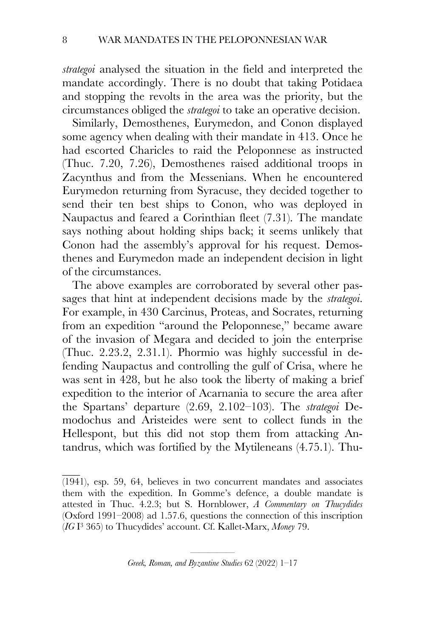*strategoi* analysed the situation in the field and interpreted the mandate accordingly. There is no doubt that taking Potidaea and stopping the revolts in the area was the priority, but the circumstances obliged the *strategoi* to take an operative decision.

Similarly, Demosthenes, Eurymedon, and Conon displayed some agency when dealing with their mandate in 413. Once he had escorted Charicles to raid the Peloponnese as instructed (Thuc. 7.20, 7.26), Demosthenes raised additional troops in Zacynthus and from the Messenians. When he encountered Eurymedon returning from Syracuse, they decided together to send their ten best ships to Conon, who was deployed in Naupactus and feared a Corinthian fleet (7.31). The mandate says nothing about holding ships back; it seems unlikely that Conon had the assembly's approval for his request. Demosthenes and Eurymedon made an independent decision in light of the circumstances.

The above examples are corroborated by several other passages that hint at independent decisions made by the *strategoi*. For example, in 430 Carcinus, Proteas, and Socrates, returning from an expedition "around the Peloponnese," became aware of the invasion of Megara and decided to join the enterprise (Thuc. 2.23.2, 2.31.1). Phormio was highly successful in defending Naupactus and controlling the gulf of Crisa, where he was sent in 428, but he also took the liberty of making a brief expedition to the interior of Acarnania to secure the area after the Spartans' departure (2.69, 2.102–103). The *strategoi* Demodochus and Aristeides were sent to collect funds in the Hellespont, but this did not stop them from attacking Antandrus, which was fortified by the Mytileneans (4.75.1). Thu-

<sup>(1941),</sup> esp. 59, 64, believes in two concurrent mandates and associates them with the expedition. In Gomme's defence, a double mandate is attested in Thuc. 4.2.3; but S. Hornblower, *A Commentary on Thucydides* (Oxford 1991–2008) ad 1.57.6, questions the connection of this inscription (*IG* I3 365) to Thucydides' account. Cf. Kallet-Marx, *Money* 79.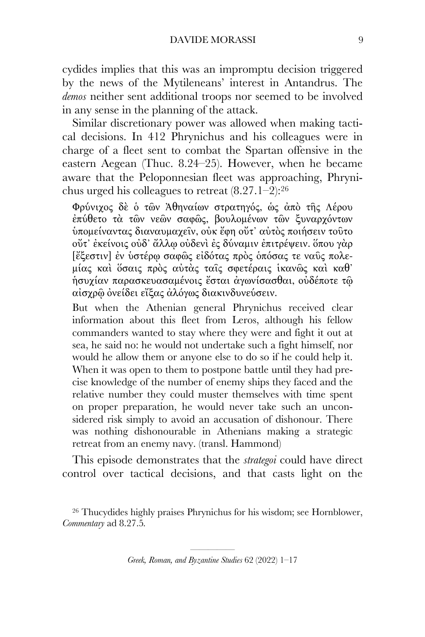cydides implies that this was an impromptu decision triggered by the news of the Mytileneans' interest in Antandrus. The *demos* neither sent additional troops nor seemed to be involved in any sense in the planning of the attack.

Similar discretionary power was allowed when making tactical decisions. In 412 Phrynichus and his colleagues were in charge of a fleet sent to combat the Spartan offensive in the eastern Aegean (Thuc. 8.24–25). However, when he became aware that the Peloponnesian fleet was approaching, Phrynichus urged his colleagues to retreat (8.27.1–2): 26

Φρύνιχος δὲ ὁ τῶν Ἀθηναίων στρατηγός, ὡς ἀπὸ τῆς Λέρου ἐπύθετο τὰ τῶν νεῶν σαφῶς, βουλοµένων τῶν ξυναρχόντων ὑποµείναντας διαναυµαχεῖν, οὐκ ἔφη οὔτ᾽ αὐτὸς ποιήσειν τοῦτο οὔτ᾽ ἐκείνοις οὐδ᾽ ἄλλῳ οὐδενὶ ἐς δύναµιν ἐπιτρέψειν. ὅπου γὰρ [ἔξεστιν] ἐν ὑστέρῳ σαφῶς εἰδότας πρὸς ὁπόσας τε ναῦς πολεµίας καὶ ὅσαις πρὸς αὐτὰς ταῖς σφετέραις ἱκανῶς καὶ καθ᾽ ἡσυχίαν παρασκευασαµένοις ἔσται ἀγωνίσασθαι, οὐδέποτε τῷ αἰσχρῷ ὀνείδει εἴξας ἀλόγως διακινδυνεύσειν.

But when the Athenian general Phrynichus received clear information about this fleet from Leros, although his fellow commanders wanted to stay where they were and fight it out at sea, he said no: he would not undertake such a fight himself, nor would he allow them or anyone else to do so if he could help it. When it was open to them to postpone battle until they had precise knowledge of the number of enemy ships they faced and the relative number they could muster themselves with time spent on proper preparation, he would never take such an unconsidered risk simply to avoid an accusation of dishonour. There was nothing dishonourable in Athenians making a strategic retreat from an enemy navy. (transl. Hammond)

This episode demonstrates that the *strategoi* could have direct control over tactical decisions, and that casts light on the

<sup>26</sup> Thucydides highly praises Phrynichus for his wisdom; see Hornblower, *Commentary* ad 8.27.5*.*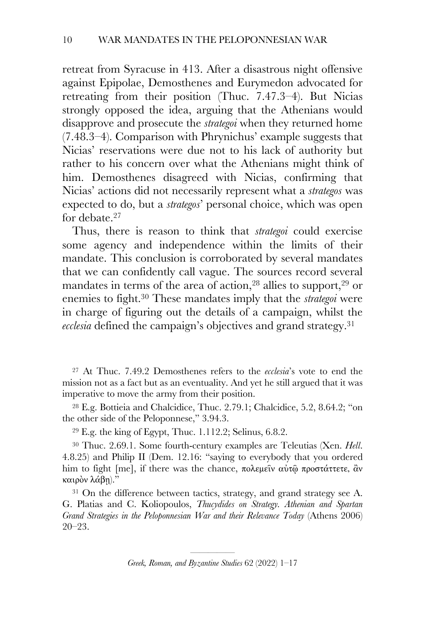retreat from Syracuse in 413. After a disastrous night offensive against Epipolae, Demosthenes and Eurymedon advocated for retreating from their position (Thuc. 7.47.3–4). But Nicias strongly opposed the idea, arguing that the Athenians would disapprove and prosecute the *strategoi* when they returned home (7.48.3–4). Comparison with Phrynichus' example suggests that Nicias' reservations were due not to his lack of authority but rather to his concern over what the Athenians might think of him. Demosthenes disagreed with Nicias, confirming that Nicias' actions did not necessarily represent what a *strategos* was expected to do, but a *strategos*' personal choice, which was open for debate.<sup>27</sup>

Thus, there is reason to think that *strategoi* could exercise some agency and independence within the limits of their mandate. This conclusion is corroborated by several mandates that we can confidently call vague. The sources record several mandates in terms of the area of action,  $28$  allies to support,  $29$  or enemies to fight.30 These mandates imply that the *strategoi* were in charge of figuring out the details of a campaign, whilst the *ecclesia* defined the campaign's objectives and grand strategy.31

<sup>27</sup> At Thuc. 7.49.2 Demosthenes refers to the *ecclesia*'s vote to end the mission not as a fact but as an eventuality. And yet he still argued that it was imperative to move the army from their position.

<sup>28</sup> E.g. Bottieia and Chalcidice, Thuc. 2.79.1; Chalcidice, 5.2, 8.64.2; "on the other side of the Peloponnese," 3.94.3.

<sup>29</sup> E.g. the king of Egypt, Thuc. 1.112.2; Selinus, 6.8.2.

<sup>30</sup> Thuc. 2.69.1. Some fourth-century examples are Teleutias (Xen. *Hell*. 4.8.25) and Philip II (Dem. 12.16: "saying to everybody that you ordered him to fight [me], if there was the chance, πολεµεῖν αὐτῷ προστάττετε, ἂν καιρὸν λάβῃ)."

<sup>31</sup> On the difference between tactics, strategy, and grand strategy see A. G. Platias and C. Koliopoulos, *Thucydides on Strategy. Athenian and Spartan Grand Strategies in the Peloponnesian War and their Relevance Today (Athens 2006)* 20–23.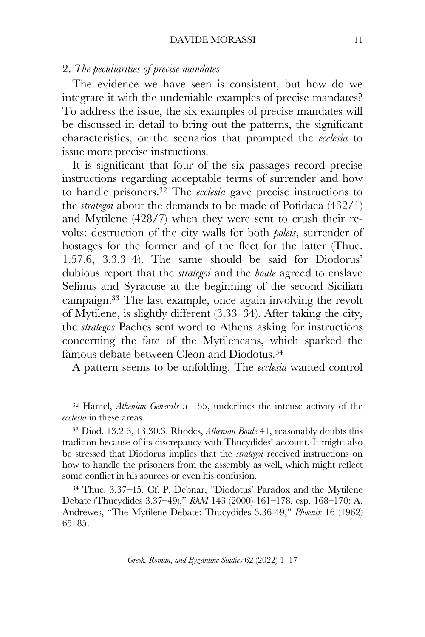### 2. *The peculiarities of precise mandates*

The evidence we have seen is consistent, but how do we integrate it with the undeniable examples of precise mandates? To address the issue, the six examples of precise mandates will be discussed in detail to bring out the patterns, the significant characteristics, or the scenarios that prompted the *ecclesia* to issue more precise instructions.

It is significant that four of the six passages record precise instructions regarding acceptable terms of surrender and how to handle prisoners.32 The *ecclesia* gave precise instructions to the *strategoi* about the demands to be made of Potidaea (432/1) and Mytilene (428/7) when they were sent to crush their revolts: destruction of the city walls for both *poleis*, surrender of hostages for the former and of the fleet for the latter (Thuc. 1.57.6, 3.3.3–4). The same should be said for Diodorus' dubious report that the *strategoi* and the *boule* agreed to enslave Selinus and Syracuse at the beginning of the second Sicilian campaign.33 The last example, once again involving the revolt of Mytilene, is slightly different (3.33–34). After taking the city, the *strategos* Paches sent word to Athens asking for instructions concerning the fate of the Mytileneans, which sparked the famous debate between Cleon and Diodotus.34

A pattern seems to be unfolding. The *ecclesia* wanted control

<sup>32</sup> Hamel, *Athenian Generals* 51–55, underlines the intense activity of the *ecclesia* in these areas.

<sup>33</sup> Diod. 13.2.6, 13.30.3. Rhodes, *Athenian Boule* 41, reasonably doubts this tradition because of its discrepancy with Thucydides' account. It might also be stressed that Diodorus implies that the *strategoi* received instructions on how to handle the prisoners from the assembly as well, which might reflect some conflict in his sources or even his confusion.

<sup>34</sup> Thuc. 3.37–45. Cf. P. Debnar, "Diodotus' Paradox and the Mytilene Debate (Thucydides 3.37–49)," *RhM* 143 (2000) 161–178, esp. 168–170; A. Andrewes, "The Mytilene Debate: Thucydides 3.36-49," *Phoenix* 16 (1962) 65–85.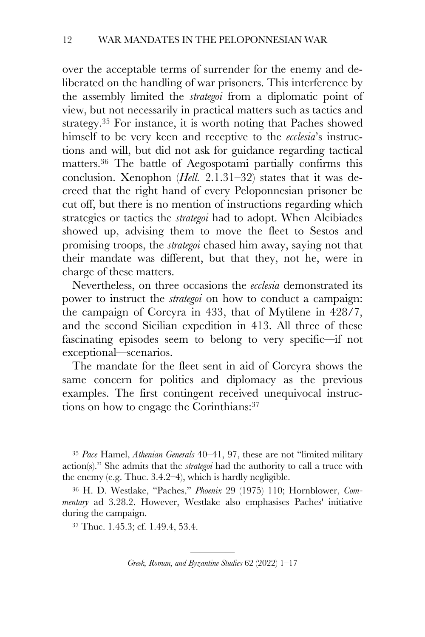over the acceptable terms of surrender for the enemy and deliberated on the handling of war prisoners. This interference by the assembly limited the *strategoi* from a diplomatic point of view, but not necessarily in practical matters such as tactics and strategy.35 For instance, it is worth noting that Paches showed himself to be very keen and receptive to the *ecclesia*'s instructions and will, but did not ask for guidance regarding tactical matters.36 The battle of Aegospotami partially confirms this conclusion. Xenophon (*Hell.* 2.1.31–32) states that it was decreed that the right hand of every Peloponnesian prisoner be cut off, but there is no mention of instructions regarding which strategies or tactics the *strategoi* had to adopt. When Alcibiades showed up, advising them to move the fleet to Sestos and promising troops, the *strategoi* chased him away, saying not that their mandate was different, but that they, not he, were in charge of these matters.

Nevertheless, on three occasions the *ecclesia* demonstrated its power to instruct the *strategoi* on how to conduct a campaign: the campaign of Corcyra in 433, that of Mytilene in 428/7, and the second Sicilian expedition in 413. All three of these fascinating episodes seem to belong to very specific—if not exceptional—scenarios.

The mandate for the fleet sent in aid of Corcyra shows the same concern for politics and diplomacy as the previous examples. The first contingent received unequivocal instructions on how to engage the Corinthians: 37

<sup>35</sup> *Pace* Hamel, *Athenian Generals* 40–41, 97, these are not "limited military action(s)." She admits that the *strategoi* had the authority to call a truce with the enemy (e.g. Thuc. 3.4.2–4), which is hardly negligible.

<sup>36</sup> H. D. Westlake, "Paches," *Phoenix* 29 (1975) 110; Hornblower, *Commentary* ad 3.28.2. However, Westlake also emphasises Paches' initiative during the campaign.

<sup>37</sup> Thuc. 1.45.3; cf. 1.49.4, 53.4.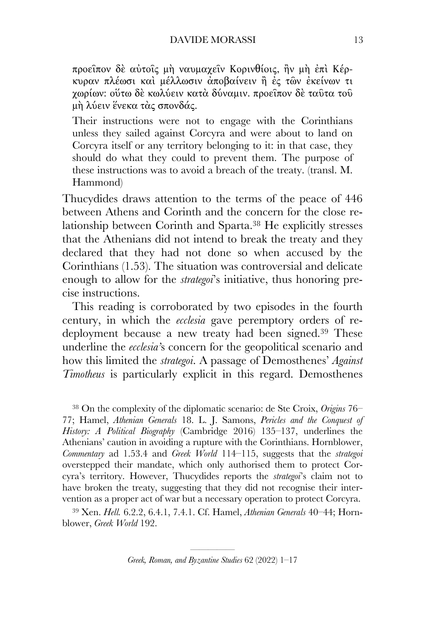προεῖπον δὲ αὐτοῖς µὴ ναυµαχεῖν Κορινθίοις, ἢν µὴ ἐπὶ Κέρκυραν πλέωσι καὶ µέλλωσιν ἀποβαίνειν ἢ ἐς τῶν ἐκείνων τι χωρίων: οὕτω δὲ κωλύειν κατὰ δύναµιν. προεῖπον δὲ ταῦτα τοῦ µὴ λύειν ἕνεκα τὰς σπονδάς.

Their instructions were not to engage with the Corinthians unless they sailed against Corcyra and were about to land on Corcyra itself or any territory belonging to it: in that case, they should do what they could to prevent them. The purpose of these instructions was to avoid a breach of the treaty. (transl. M. Hammond)

Thucydides draws attention to the terms of the peace of 446 between Athens and Corinth and the concern for the close relationship between Corinth and Sparta.38 He explicitly stresses that the Athenians did not intend to break the treaty and they declared that they had not done so when accused by the Corinthians (1.53). The situation was controversial and delicate enough to allow for the *strategoi*'s initiative, thus honoring precise instructions.

This reading is corroborated by two episodes in the fourth century, in which the *ecclesia* gave peremptory orders of redeployment because a new treaty had been signed.<sup>39</sup> These underline the *ecclesia'*s concern for the geopolitical scenario and how this limited the *strategoi*. A passage of Demosthenes' *Against Timotheus* is particularly explicit in this regard. Demosthenes

<sup>38</sup> On the complexity of the diplomatic scenario: de Ste Croix, *Origins* 76– 77; Hamel, *Athenian Generals* 18. L. J. Samons, *Pericles and the Conquest of History: A Political Biography* (Cambridge 2016) 135–137, underlines the Athenians' caution in avoiding a rupture with the Corinthians. Hornblower, *Commentary* ad 1.53.4 and *Greek World* 114–115, suggests that the *strategoi*  overstepped their mandate, which only authorised them to protect Corcyra's territory. However, Thucydides reports the *strategoi*'s claim not to have broken the treaty, suggesting that they did not recognise their intervention as a proper act of war but a necessary operation to protect Corcyra.

<sup>39</sup> Xen. *Hell.* 6.2.2, 6.4.1, 7.4.1. Cf. Hamel, *Athenian Generals* 40–44; Hornblower, *Greek World* 192.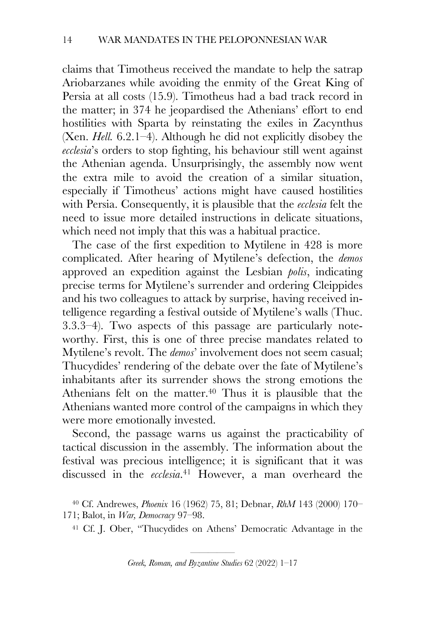claims that Timotheus received the mandate to help the satrap Ariobarzanes while avoiding the enmity of the Great King of Persia at all costs (15.9). Timotheus had a bad track record in the matter; in 374 he jeopardised the Athenians' effort to end hostilities with Sparta by reinstating the exiles in Zacynthus (Xen. *Hell.* 6.2.1–4). Although he did not explicitly disobey the *ecclesia*'s orders to stop fighting, his behaviour still went against the Athenian agenda. Unsurprisingly, the assembly now went the extra mile to avoid the creation of a similar situation, especially if Timotheus' actions might have caused hostilities with Persia. Consequently, it is plausible that the *ecclesia* felt the need to issue more detailed instructions in delicate situations, which need not imply that this was a habitual practice.

The case of the first expedition to Mytilene in 428 is more complicated. After hearing of Mytilene's defection, the *demos*  approved an expedition against the Lesbian *polis*, indicating precise terms for Mytilene's surrender and ordering Cleippides and his two colleagues to attack by surprise, having received intelligence regarding a festival outside of Mytilene's walls (Thuc. 3.3.3–4). Two aspects of this passage are particularly noteworthy. First, this is one of three precise mandates related to Mytilene's revolt. The *demos*' involvement does not seem casual; Thucydides' rendering of the debate over the fate of Mytilene's inhabitants after its surrender shows the strong emotions the Athenians felt on the matter.<sup>40</sup> Thus it is plausible that the Athenians wanted more control of the campaigns in which they were more emotionally invested.

Second, the passage warns us against the practicability of tactical discussion in the assembly. The information about the festival was precious intelligence; it is significant that it was discussed in the *ecclesia*. <sup>41</sup> However, a man overheard the

<sup>41</sup> Cf. J. Ober, "Thucydides on Athens' Democratic Advantage in the

<sup>40</sup> Cf. Andrewes, *Phoenix* 16 (1962) 75, 81; Debnar, *RhM* 143 (2000) 170– 171; Balot, in *War, Democracy* 97–98.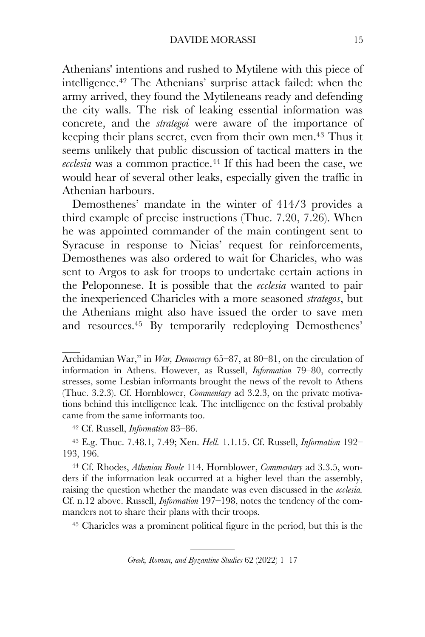Athenians' intentions and rushed to Mytilene with this piece of intelligence.42 The Athenians' surprise attack failed: when the army arrived, they found the Mytileneans ready and defending the city walls. The risk of leaking essential information was concrete, and the *strategoi* were aware of the importance of keeping their plans secret, even from their own men.43 Thus it seems unlikely that public discussion of tactical matters in the *ecclesia* was a common practice.44 If this had been the case, we would hear of several other leaks, especially given the traffic in Athenian harbours.

Demosthenes' mandate in the winter of 414/3 provides a third example of precise instructions (Thuc. 7.20, 7.26). When he was appointed commander of the main contingent sent to Syracuse in response to Nicias' request for reinforcements, Demosthenes was also ordered to wait for Charicles, who was sent to Argos to ask for troops to undertake certain actions in the Peloponnese. It is possible that the *ecclesia* wanted to pair the inexperienced Charicles with a more seasoned *strategos*, but the Athenians might also have issued the order to save men and resources.45 By temporarily redeploying Demosthenes'

<sup>42</sup> Cf. Russell, *Information* 83–86.

<sup>43</sup> E.g. Thuc. 7.48.1, 7.49; Xen. *Hell.* 1.1.15. Cf. Russell, *Information* 192– 193, 196.

<sup>44</sup> Cf. Rhodes, *Athenian Boule* 114. Hornblower, *Commentary* ad 3.3.5, wonders if the information leak occurred at a higher level than the assembly, raising the question whether the mandate was even discussed in the *ecclesia.*  Cf. n.12 above. Russell, *Information* 197–198, notes the tendency of the commanders not to share their plans with their troops.

<sup>45</sup> Charicles was a prominent political figure in the period, but this is the

Archidamian War," in *War, Democracy* 65–87, at 80–81, on the circulation of information in Athens. However, as Russell, *Information* 79–80, correctly stresses, some Lesbian informants brought the news of the revolt to Athens (Thuc. 3.2.3). Cf. Hornblower, *Commentary* ad 3.2.3, on the private motivations behind this intelligence leak. The intelligence on the festival probably came from the same informants too.

<sup>——————————————&</sup>lt;br>———————————————————— *Greek, Roman, and Byzantine Studies* 62 (2022) 1–17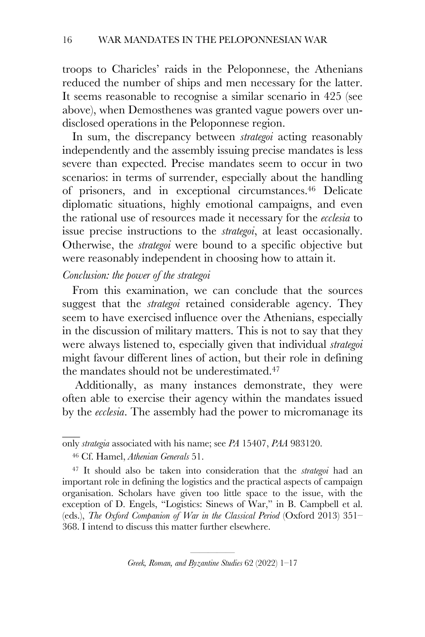troops to Charicles' raids in the Peloponnese, the Athenians reduced the number of ships and men necessary for the latter. It seems reasonable to recognise a similar scenario in 425 (see above), when Demosthenes was granted vague powers over undisclosed operations in the Peloponnese region.

In sum, the discrepancy between *strategoi* acting reasonably independently and the assembly issuing precise mandates is less severe than expected. Precise mandates seem to occur in two scenarios: in terms of surrender, especially about the handling of prisoners, and in exceptional circumstances.46 Delicate diplomatic situations, highly emotional campaigns, and even the rational use of resources made it necessary for the *ecclesia* to issue precise instructions to the *strategoi*, at least occasionally. Otherwise, the *strategoi* were bound to a specific objective but were reasonably independent in choosing how to attain it.

## *Conclusion: the power of the strategoi*

From this examination, we can conclude that the sources suggest that the *strategoi* retained considerable agency. They seem to have exercised influence over the Athenians, especially in the discussion of military matters. This is not to say that they were always listened to, especially given that individual *strategoi*  might favour different lines of action, but their role in defining the mandates should not be underestimated.<sup>47</sup>

Additionally, as many instances demonstrate, they were often able to exercise their agency within the mandates issued by the *ecclesia*. The assembly had the power to micromanage its

only *strategia* associated with his name; see *PA* 15407, *PAA* 983120.

<sup>46</sup> Cf. Hamel, *Athenian Generals* 51.

<sup>47</sup> It should also be taken into consideration that the *strategoi* had an important role in defining the logistics and the practical aspects of campaign organisation. Scholars have given too little space to the issue, with the exception of D. Engels, "Logistics: Sinews of War," in B. Campbell et al. (eds.), *The Oxford Companion of War in the Classical Period* (Oxford 2013) 351– 368. I intend to discuss this matter further elsewhere.